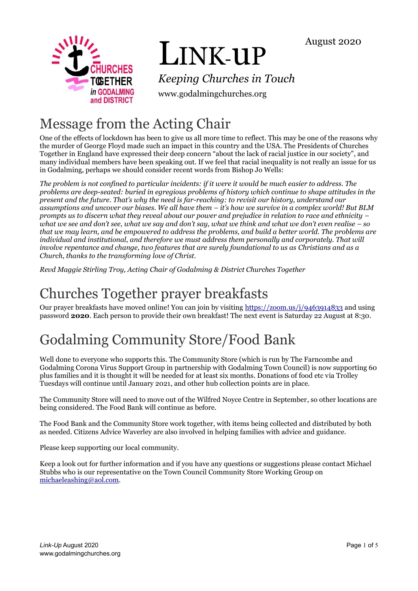August 2020



# LINK-uP

*Keeping Churches in Touch*

www.godalmingchurches.org

# Message from the Acting Chair

One of the effects of lockdown has been to give us all more time to reflect. This may be one of the reasons why the murder of George Floyd made such an impact in this country and the USA. The Presidents of Churches Together in England have expressed their deep concern "about the lack of racial justice in our society", and many individual members have been speaking out. If we feel that racial inequality is not really an issue for us in Godalming, perhaps we should consider recent words from Bishop Jo Wells:

*The problem is not confined to particular incidents: if it were it would be much easier to address. The problems are deep-seated: buried in egregious problems of history which continue to shape attitudes in the present and the future. That's why the need is far-reaching: to revisit our history, understand our assumptions and uncover our biases. We all have them – it's how we survive in a complex world! But BLM prompts us to discern what they reveal about our power and prejudice in relation to race and ethnicity – what we see and don't see, what we say and don't say, what we think and what we don't even realise – so that we may learn, and be empowered to address the problems, and build a better world. The problems are individual and institutional, and therefore we must address them personally and corporately. That will involve repentance and change, two features that are surely foundational to us as Christians and as a Church, thanks to the transforming love of Christ.*

*Revd Maggie Stirling Troy, Acting Chair of Godalming & District Churches Together*

# Churches Together prayer breakfasts

Our prayer breakfasts have moved online! You can join by visiting<https://zoom.us/j/9463914833> and using password **2020**. Each person to provide their own breakfast! The next event is Saturday 22 August at 8:30.

# Godalming Community Store/Food Bank

Well done to everyone who supports this. The Community Store (which is run by The Farncombe and Godalming Corona Virus Support Group in partnership with Godalming Town Council) is now supporting 60 plus families and it is thought it will be needed for at least six months. Donations of food etc via Trolley Tuesdays will continue until January 2021, and other hub collection points are in place.

The Community Store will need to move out of the Wilfred Noyce Centre in September, so other locations are being considered. The Food Bank will continue as before.

The Food Bank and the Community Store work together, with items being collected and distributed by both as needed. Citizens Advice Waverley are also involved in helping families with advice and guidance.

Please keep supporting our local community.

Keep a look out for further information and if you have any questions or suggestions please contact Michael Stubbs who is our representative on the Town Council Community Store Working Group on [michaeleashing@aol.com.](mailto:michaeleashing@aol.com)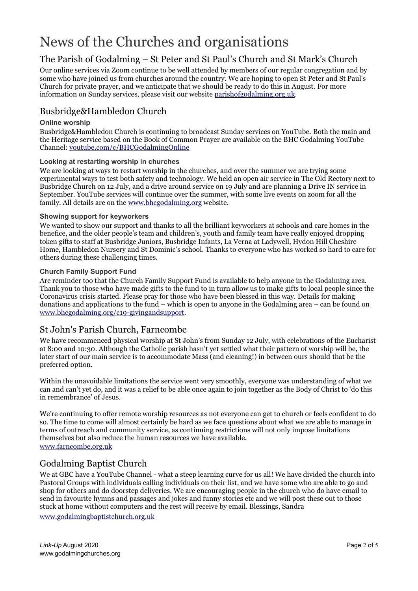# News of the Churches and organisations

# The Parish of Godalming – St Peter and St Paul's Church and St Mark's Church

Our online services via Zoom continue to be well attended by members of our regular congregation and by some who have joined us from churches around the country. We are hoping to open St Peter and St Paul's Church for private prayer, and we anticipate that we should be ready to do this in August. For more information on Sunday services, please visit our websit[e parishofgodalming.org.uk.](https://parishofgodalming.org.uk/)

# Busbridge&Hambledon Church

#### **Online worship**

Busbridge&Hambledon Church is continuing to broadcast Sunday services on YouTube. Both the main and the Heritage service based on the Book of Common Prayer are available on the BHC Godalming YouTube Channel: [youtube.com/c/BHCGodalmingOnline](https://www.youtube.com/c/BHCGodalmingOnline)

#### **Looking at restarting worship in churches**

We are looking at ways to restart worship in the churches, and over the summer we are trying some experimental ways to test both safety and technology. We held an open air service in The Old Rectory next to Busbridge Church on 12 July, and a drive around service on 19 July and are planning a Drive IN service in September. YouTube services will continue over the summer, with some live events on zoom for all the family. All details are on th[e www.bhcgodalming.org](https://www.bhcgodalming.org/) website.

#### **Showing support for keyworkers**

We wanted to show our support and thanks to all the brilliant keyworkers at schools and care homes in the benefice, and the older people's team and children's, youth and family team have really enjoyed dropping token gifts to staff at Busbridge Juniors, Busbridge Infants, La Verna at Ladywell, Hydon Hill Cheshire Home, Hambledon Nursery and St Dominic's school. Thanks to everyone who has worked so hard to care for others during these challenging times.

#### **Church Family Support Fund**

Are reminder too that the Church Family Support Fund is available to help anyone in the Godalming area. Thank you to those who have made gifts to the fund to in turn allow us to make gifts to local people since the Coronavirus crisis started. Please pray for those who have been blessed in this way. Details for making donations and applications to the fund – which is open to anyone in the Godalming area – can be found on [www.bhcgodalming.org/c19-givingandsupport.](https://www.bhcgodalming.org/c19-givingandsupport)

## St John's Parish Church, Farncombe

We have recommenced physical worship at St John's from Sunday 12 July, with celebrations of the Eucharist at 8:00 and 10:30. Although the Catholic parish hasn't yet settled what their pattern of worship will be, the later start of our main service is to accommodate Mass (and cleaning!) in between ours should that be the preferred option.

Within the unavoidable limitations the service went very smoothly, everyone was understanding of what we can and can't yet do, and it was a relief to be able once again to join together as the Body of Christ to 'do this in remembrance' of Jesus.

We're continuing to offer remote worship resources as not everyone can get to church or feels confident to do so. The time to come will almost certainly be hard as we face questions about what we are able to manage in terms of outreach and community service, as continuing restrictions will not only impose limitations themselves but also reduce the human resources we have available. [www.farncombe.org.uk](http://www.farncombe.org.uk/)

## Godalming Baptist Church

We at GBC have a YouTube Channel - what a steep learning curve for us all! We have divided the church into Pastoral Groups with individuals calling individuals on their list, and we have some who are able to go and shop for others and do doorstep deliveries. We are encouraging people in the church who do have email to send in favourite hymns and passages and jokes and funny stories etc and we will post these out to those stuck at home without computers and the rest will receive by email. Blessings, Sandra

[www.godalmingbaptistchurch.org.uk](http://www.godalmingbaptistchurch.org.uk/)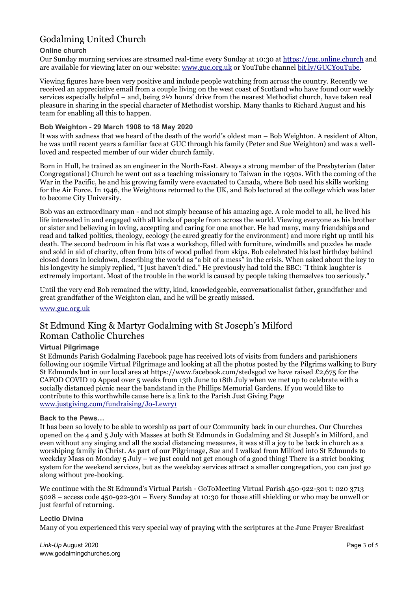# Godalming United Church

#### **Online church**

Our Sunday morning services are streamed real-time every Sunday at 10:30 at [https://guc.online.church](https://guc.online.church/) and are available for viewing later on our website: [www.guc.org.uk](https://www.guc.org.uk/) or YouTube channel [bit.ly/GUCYouTube.](https://bit.ly/GUCYouTube)

Viewing figures have been very positive and include people watching from across the country. Recently we received an appreciative email from a couple living on the west coast of Scotland who have found our weekly services especially helpful – and, being  $2\frac{1}{2}$  hours' drive from the nearest Methodist church, have taken real pleasure in sharing in the special character of Methodist worship. Many thanks to Richard August and his team for enabling all this to happen.

#### **Bob Weighton - 29 March 1908 to 18 May 2020**

It was with sadness that we heard of the death of the world's oldest man – Bob Weighton. A resident of Alton, he was until recent years a familiar face at GUC through his family (Peter and Sue Weighton) and was a wellloved and respected member of our wider church family.

Born in Hull, he trained as an engineer in the North-East. Always a strong member of the Presbyterian (later Congregational) Church he went out as a teaching missionary to Taiwan in the 1930s. With the coming of the War in the Pacific, he and his growing family were evacuated to Canada, where Bob used his skills working for the Air Force. In 1946, the Weightons returned to the UK, and Bob lectured at the college which was later to become City University.

Bob was an extraordinary man - and not simply because of his amazing age. A role model to all, he lived his life interested in and engaged with all kinds of people from across the world. Viewing everyone as his brother or sister and believing in loving, accepting and caring for one another. He had many, many friendships and read and talked politics, theology, ecology (he cared greatly for the environment) and more right up until his death. The second bedroom in his flat was a workshop, filled with furniture, windmills and puzzles he made and sold in aid of charity, often from bits of wood pulled from skips. Bob celebrated his last birthday behind closed doors in lockdown, describing the world as "a bit of a mess" in the crisis. When asked about the key to his longevity he simply replied, "I just haven't died." He previously had told the BBC: "I think laughter is extremely important. Most of the trouble in the world is caused by people taking themselves too seriously."

Until the very end Bob remained the witty, kind, knowledgeable, conversationalist father, grandfather and great grandfather of the Weighton clan, and he will be greatly missed.

[www.guc.org.uk](http://www.guc.org.uk/)

# St Edmund King & Martyr Godalming with St Joseph's Milford Roman Catholic Churches

#### **Virtual Pilgrimage**

St Edmunds Parish Godalming Facebook page has received lots of visits from funders and parishioners following our 109mile Virtual Pilgrimage and looking at all the photos posted by the Pilgrims walking to Bury St Edmunds but in our local area at https://www.facebook.com/stedsgod we have raised £2,675 for the CAFOD COVID 19 Appeal over 5 weeks from 13th June to 18th July when we met up to celebrate with a socially distanced picnic near the bandstand in the Phillips Memorial Gardens. If you would like to contribute to this worthwhile cause here is a link to the Parish Just Giving Page [www.justgiving.com/fundraising/Jo-Lewry1](https://www.justgiving.com/fundraising/Jo-Lewry1)

#### **Back to the Pews…**

It has been so lovely to be able to worship as part of our Community back in our churches. Our Churches opened on the 4 and 5 July with Masses at both St Edmunds in Godalming and St Joseph's in Milford, and even without any singing and all the social distancing measures, it was still a joy to be back in church as a worshiping family in Christ. As part of our Pilgrimage, Sue and I walked from Milford into St Edmunds to weekday Mass on Monday 5 July – we just could not get enough of a good thing! There is a strict booking system for the weekend services, but as the weekday services attract a smaller congregation, you can just go along without pre-booking.

We continue with the St Edmund's Virtual Parish - GoToMeeting Virtual Parish 450-922-301 t: 020 3713 5028 – access code 450-922-301 – Every Sunday at 10:30 for those still shielding or who may be unwell or just fearful of returning.

#### **Lectio Divina**

Many of you experienced this very special way of praying with the scriptures at the June Prayer Breakfast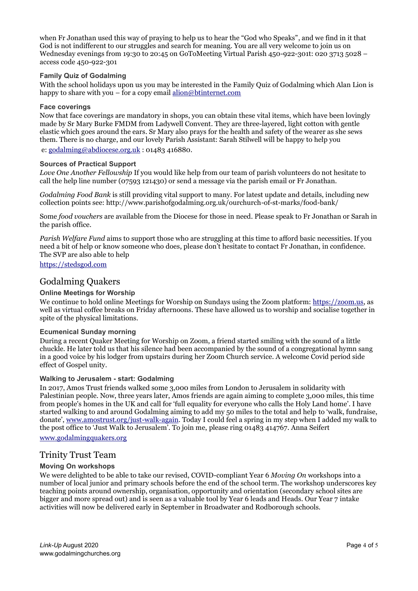when Fr Jonathan used this way of praying to help us to hear the "God who Speaks", and we find in it that God is not indifferent to our struggles and search for meaning. You are all very welcome to join us on Wednesday evenings from 19:30 to 20:45 on GoToMeeting Virtual Parish 450-922-301t: 020 3713 5028 – access code 450-922-301

#### **Family Quiz of Godalming**

With the school holidays upon us you may be interested in the Family Quiz of Godalming which Alan Lion is happy to share with you – for a copy email  $\underline{alion@b}$ tinternet.com

#### **Face coverings**

Now that face coverings are mandatory in shops, you can obtain these vital items, which have been lovingly made by Sr Mary Burke FMDM from Ladywell Convent. They are three-layered, light cotton with gentle elastic which goes around the ears. Sr Mary also prays for the health and safety of the wearer as she sews them. There is no charge, and our lovely Parish Assistant: Sarah Stilwell will be happy to help you e: [godalming@abdiocese.org.uk](mailto:godalming@abdiocese.org.uk) : 01483 416880.

#### **Sources of Practical Support**

*Love One Another Fellowship* If you would like help from our team of parish volunteers do not hesitate to call the help line number (07593 121430) or send a message via the parish email or Fr Jonathan.

*Godalming Food Bank* is still providing vital support to many. For latest update and details, including new collection points see: http://www.parishofgodalming.org.uk/ourchurch-of-st-marks/food-bank/

Some *food vouchers* are available from the Diocese for those in need. Please speak to Fr Jonathan or Sarah in the parish office.

*Parish Welfare Fund* aims to support those who are struggling at this time to afford basic necessities. If you need a bit of help or know someone who does, please don't hesitate to contact Fr Jonathan, in confidence. The SVP are also able to help

[https://stedsgod.com](https://stedsgod.com/)

## Godalming Quakers

#### **Online Meetings for Worship**

We continue to hold online Meetings for Worship on Sundays using the Zoom platform[: https://zoom.us,](https://zoom.us/) as well as virtual coffee breaks on Friday afternoons. These have allowed us to worship and socialise together in spite of the physical limitations.

#### **Ecumenical Sunday morning**

During a recent Quaker Meeting for Worship on Zoom, a friend started smiling with the sound of a little chuckle. He later told us that his silence had been accompanied by the sound of a congregational hymn sang in a good voice by his lodger from upstairs during her Zoom Church service. A welcome Covid period side effect of Gospel unity.

#### **Walking to Jerusalem - start: Godalming**

In 2017, Amos Trust friends walked some 3,000 miles from London to Jerusalem in solidarity with Palestinian people. Now, three years later, Amos friends are again aiming to complete 3,000 miles, this time from people's homes in the UK and call for 'full equality for everyone who calls the Holy Land home'. I have started walking to and around Godalming aiming to add my 50 miles to the total and help to 'walk, fundraise, donate', [www.amostrust.org/just-walk-again.](https://www.amostrust.org/just-walk-again) Today I could feel a spring in my step when I added my walk to the post office to 'Just Walk to Jerusalem'. To join me, please ring 01483 414767. Anna Seifert

[www.godalmingquakers.org](http://www.godalmingquakers.org/)

## Trinity Trust Team

#### **Moving On workshops**

We were delighted to be able to take our revised, COVID-compliant Year 6 *Moving On* workshops into a number of local junior and primary schools before the end of the school term. The workshop underscores key teaching points around ownership, organisation, opportunity and orientation (secondary school sites are bigger and more spread out) and is seen as a valuable tool by Year 6 leads and Heads. Our Year 7 intake activities will now be delivered early in September in Broadwater and Rodborough schools.